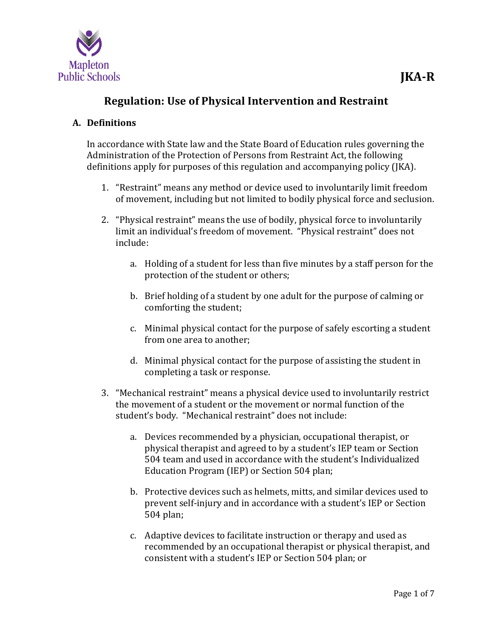

# **Regulation: Use of Physical Intervention and Restraint**

# **A. Definitions**

In accordance with State law and the State Board of Education rules governing the Administration of the Protection of Persons from Restraint Act, the following definitions apply for purposes of this regulation and accompanying policy (JKA).

- 1. "Restraint" means any method or device used to involuntarily limit freedom of movement, including but not limited to bodily physical force and seclusion.
- 2. "Physical restraint" means the use of bodily, physical force to involuntarily limit an individual's freedom of movement. "Physical restraint" does not include:
	- a. Holding of a student for less than five minutes by a staff person for the protection of the student or others;
	- b. Brief holding of a student by one adult for the purpose of calming or comforting the student;
	- c. Minimal physical contact for the purpose of safely escorting a student from one area to another;
	- d. Minimal physical contact for the purpose of assisting the student in completing a task or response.
- 3. "Mechanical restraint" means a physical device used to involuntarily restrict the movement of a student or the movement or normal function of the student's body. "Mechanical restraint" does not include:
	- a. Devices recommended by a physician, occupational therapist, or physical therapist and agreed to by a student's IEP team or Section 504 team and used in accordance with the student's Individualized Education Program (IEP) or Section 504 plan;
	- b. Protective devices such as helmets, mitts, and similar devices used to prevent self-injury and in accordance with a student's IEP or Section 504 plan;
	- c. Adaptive devices to facilitate instruction or therapy and used as recommended by an occupational therapist or physical therapist, and consistent with a student's IEP or Section 504 plan; or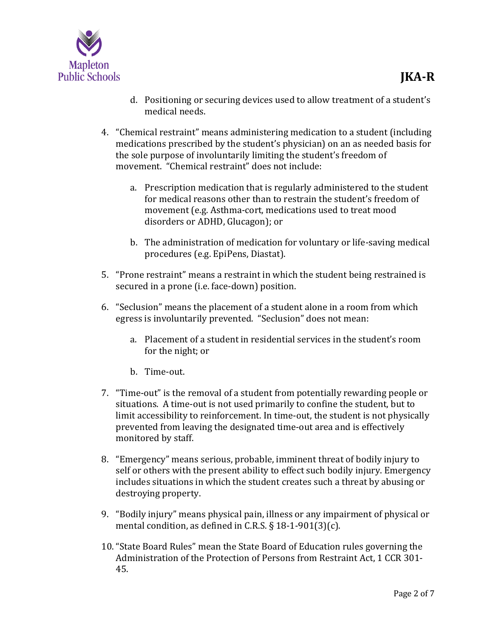

- d. Positioning or securing devices used to allow treatment of a student's medical needs.
- 4. "Chemical restraint" means administering medication to a student (including medications prescribed by the student's physician) on an as needed basis for the sole purpose of involuntarily limiting the student's freedom of movement. "Chemical restraint" does not include:
	- a. Prescription medication that is regularly administered to the student for medical reasons other than to restrain the student's freedom of movement (e.g. Asthma-cort, medications used to treat mood disorders or ADHD, Glucagon); or
	- b. The administration of medication for voluntary or life-saving medical procedures (e.g. EpiPens, Diastat).
- 5. "Prone restraint" means a restraint in which the student being restrained is secured in a prone (i.e. face-down) position.
- 6. "Seclusion" means the placement of a student alone in a room from which egress is involuntarily prevented. "Seclusion" does not mean:
	- a. Placement of a student in residential services in the student's room for the night; or
	- b. Time-out.
- 7. "Time-out" is the removal of a student from potentially rewarding people or situations. A time-out is not used primarily to confine the student, but to limit accessibility to reinforcement. In time-out, the student is not physically prevented from leaving the designated time-out area and is effectively monitored by staff.
- 8. "Emergency" means serious, probable, imminent threat of bodily injury to self or others with the present ability to effect such bodily injury. Emergency includes situations in which the student creates such a threat by abusing or destroying property.
- 9. "Bodily injury" means physical pain, illness or any impairment of physical or mental condition, as defined in C.R.S. § 18-1-901(3)(c).
- 10. "State Board Rules" mean the State Board of Education rules governing the Administration of the Protection of Persons from Restraint Act, 1 CCR 301- 45.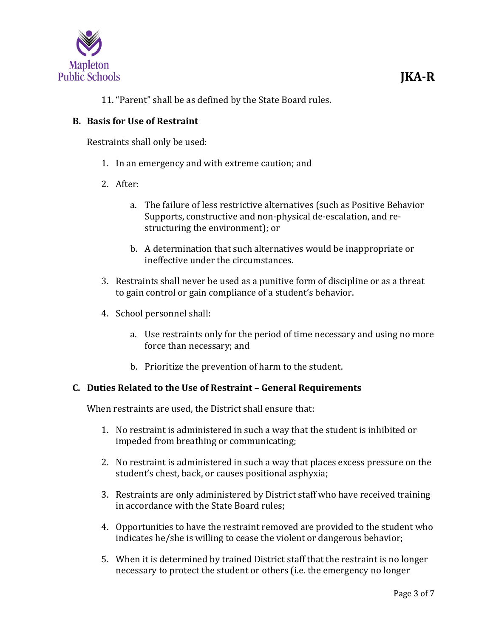

11. "Parent" shall be as defined by the State Board rules.

## **B. Basis for Use of Restraint**

Restraints shall only be used:

- 1. In an emergency and with extreme caution; and
- 2. After:
	- a. The failure of less restrictive alternatives (such as Positive Behavior Supports, constructive and non-physical de-escalation, and restructuring the environment); or
	- b. A determination that such alternatives would be inappropriate or ineffective under the circumstances.
- 3. Restraints shall never be used as a punitive form of discipline or as a threat to gain control or gain compliance of a student's behavior.
- 4. School personnel shall:
	- a. Use restraints only for the period of time necessary and using no more force than necessary; and
	- b. Prioritize the prevention of harm to the student.

## **C. Duties Related to the Use of Restraint – General Requirements**

When restraints are used, the District shall ensure that:

- 1. No restraint is administered in such a way that the student is inhibited or impeded from breathing or communicating;
- 2. No restraint is administered in such a way that places excess pressure on the student's chest, back, or causes positional asphyxia;
- 3. Restraints are only administered by District staff who have received training in accordance with the State Board rules;
- 4. Opportunities to have the restraint removed are provided to the student who indicates he/she is willing to cease the violent or dangerous behavior;
- 5. When it is determined by trained District staff that the restraint is no longer necessary to protect the student or others (i.e. the emergency no longer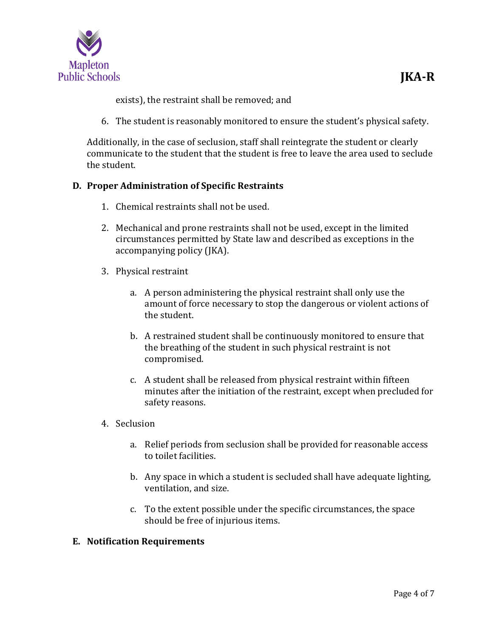

exists), the restraint shall be removed; and

6. The student is reasonably monitored to ensure the student's physical safety.

Additionally, in the case of seclusion, staff shall reintegrate the student or clearly communicate to the student that the student is free to leave the area used to seclude the student.

## **D. Proper Administration of Specific Restraints**

- 1. Chemical restraints shall not be used.
- 2. Mechanical and prone restraints shall not be used, except in the limited circumstances permitted by State law and described as exceptions in the accompanying policy (JKA).
- 3. Physical restraint
	- a. A person administering the physical restraint shall only use the amount of force necessary to stop the dangerous or violent actions of the student.
	- b. A restrained student shall be continuously monitored to ensure that the breathing of the student in such physical restraint is not compromised.
	- c. A student shall be released from physical restraint within fifteen minutes after the initiation of the restraint, except when precluded for safety reasons.
- 4. Seclusion
	- a. Relief periods from seclusion shall be provided for reasonable access to toilet facilities.
	- b. Any space in which a student is secluded shall have adequate lighting, ventilation, and size.
	- c. To the extent possible under the specific circumstances, the space should be free of injurious items.

#### **E. Notification Requirements**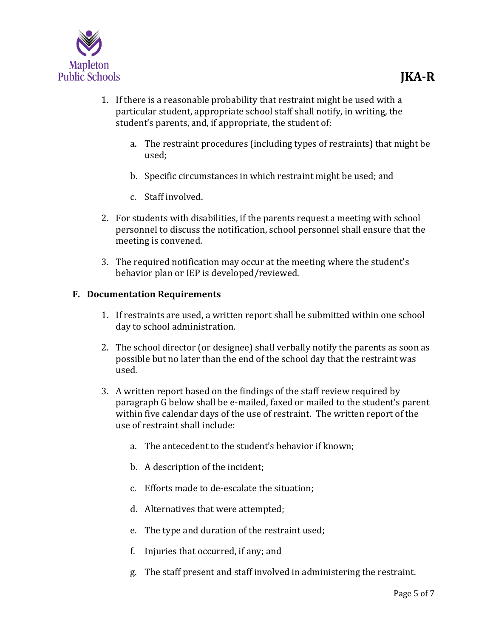

- 1. If there is a reasonable probability that restraint might be used with a particular student, appropriate school staff shall notify, in writing, the student's parents, and, if appropriate, the student of:
	- a. The restraint procedures (including types of restraints) that might be used;
	- b. Specific circumstances in which restraint might be used; and
	- c. Staff involved.
- 2. For students with disabilities, if the parents request a meeting with school personnel to discuss the notification, school personnel shall ensure that the meeting is convened.
- 3. The required notification may occur at the meeting where the student's behavior plan or IEP is developed/reviewed.

## **F. Documentation Requirements**

- 1. If restraints are used, a written report shall be submitted within one school day to school administration.
- 2. The school director (or designee) shall verbally notify the parents as soon as possible but no later than the end of the school day that the restraint was used.
- 3. A written report based on the findings of the staff review required by paragraph G below shall be e-mailed, faxed or mailed to the student's parent within five calendar days of the use of restraint. The written report of the use of restraint shall include:
	- a. The antecedent to the student's behavior if known;
	- b. A description of the incident;
	- c. Efforts made to de-escalate the situation;
	- d. Alternatives that were attempted;
	- e. The type and duration of the restraint used;
	- f. Injuries that occurred, if any; and
	- g. The staff present and staff involved in administering the restraint.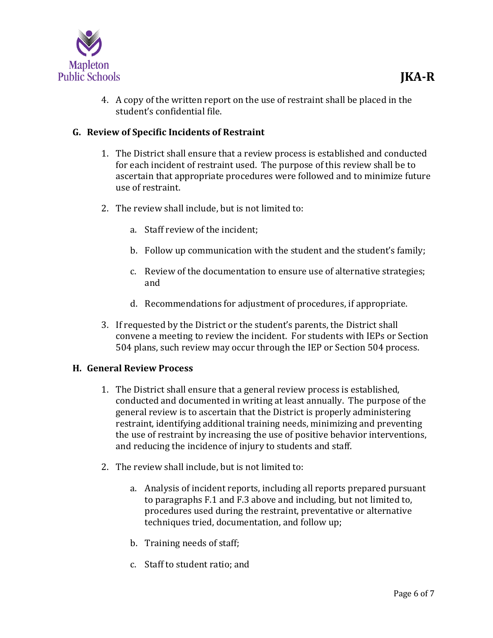

4. A copy of the written report on the use of restraint shall be placed in the student's confidential file.

# **G. Review of Specific Incidents of Restraint**

- 1. The District shall ensure that a review process is established and conducted for each incident of restraint used. The purpose of this review shall be to ascertain that appropriate procedures were followed and to minimize future use of restraint.
- 2. The review shall include, but is not limited to:
	- a. Staff review of the incident;
	- b. Follow up communication with the student and the student's family;
	- c. Review of the documentation to ensure use of alternative strategies; and
	- d. Recommendations for adjustment of procedures, if appropriate.
- 3. If requested by the District or the student's parents, the District shall convene a meeting to review the incident. For students with IEPs or Section 504 plans, such review may occur through the IEP or Section 504 process.

## **H. General Review Process**

- 1. The District shall ensure that a general review process is established, conducted and documented in writing at least annually. The purpose of the general review is to ascertain that the District is properly administering restraint, identifying additional training needs, minimizing and preventing the use of restraint by increasing the use of positive behavior interventions, and reducing the incidence of injury to students and staff.
- 2. The review shall include, but is not limited to:
	- a. Analysis of incident reports, including all reports prepared pursuant to paragraphs F.1 and F.3 above and including, but not limited to, procedures used during the restraint, preventative or alternative techniques tried, documentation, and follow up;
	- b. Training needs of staff;
	- c. Staff to student ratio; and